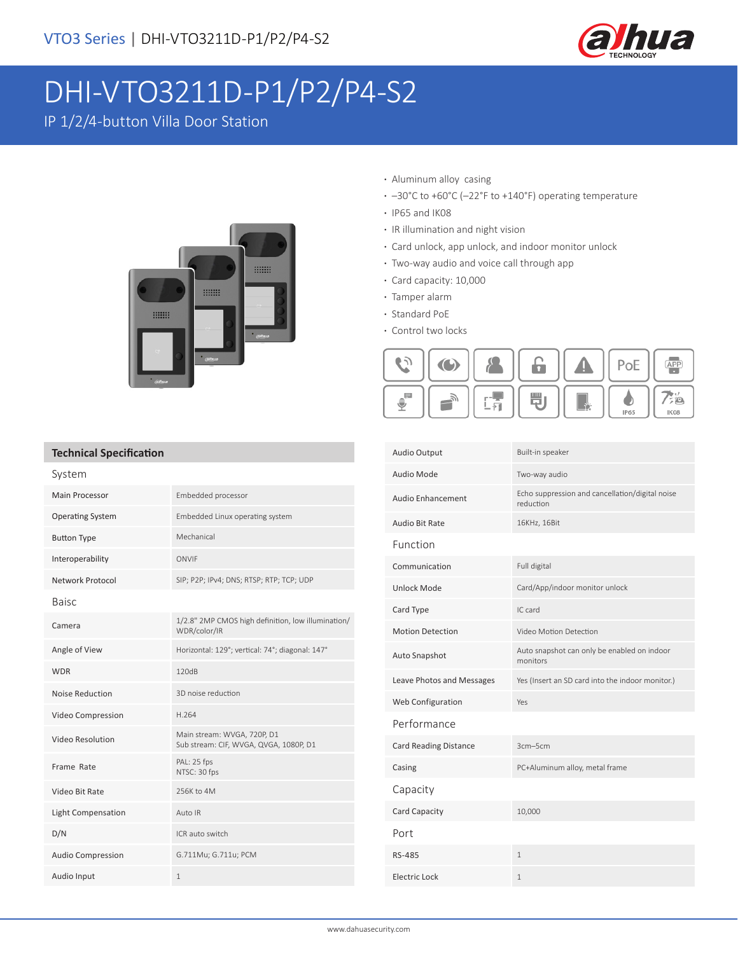

# DHI-VTO3211D-P1/P2/P4-S2

IP 1/2/4-button Villa Door Station



- **·** Aluminum alloy casing
- **·** –30°C to +60°C (–22°F to +140°F) operating temperature
- **·** IP65 and IK08
- **·** IR illumination and night vision
- **·** Card unlock, app unlock, and indoor monitor unlock
- **·** Two-way audio and voice call through app
- **·** Card capacity: 10,000
- **·** Tamper alarm
- **·** Standard PoE
- **·** Control two locks



#### **Technical Specification**

| System                  |                                                                       |  |
|-------------------------|-----------------------------------------------------------------------|--|
| Main Processor          | Embedded processor                                                    |  |
| <b>Operating System</b> | Embedded Linux operating system                                       |  |
| <b>Button Type</b>      | Mechanical                                                            |  |
| Interoperability        | ONVIF                                                                 |  |
| Network Protocol        | SIP; P2P; IPv4; DNS; RTSP; RTP; TCP; UDP                              |  |
| <b>Baisc</b>            |                                                                       |  |
| Camera                  | 1/2.8" 2MP CMOS high definition, low illumination/<br>WDR/color/IR    |  |
| Angle of View           | Horizontal: 129°; vertical: 74°; diagonal: 147°                       |  |
| <b>WDR</b>              | 120dB                                                                 |  |
| Noise Reduction         | 3D noise reduction                                                    |  |
| Video Compression       | H.264                                                                 |  |
| Video Resolution        | Main stream: WVGA, 720P, D1<br>Sub stream: CIF, WVGA, QVGA, 1080P, D1 |  |
| Frame Rate              | PAL: 25 fps<br>NTSC: 30 fps                                           |  |
| Video Bit Rate          | 256K to 4M                                                            |  |
| Light Compensation      | Auto IR                                                               |  |
| D/N                     | ICR auto switch                                                       |  |
| Audio Compression       | G.711Mu; G.711u; PCM                                                  |  |
| Audio Input             | $\mathbf{1}$                                                          |  |

| <b>Audio Output</b>          | Built-in speaker                                             |
|------------------------------|--------------------------------------------------------------|
| Audio Mode                   | Two-way audio                                                |
| Audio Enhancement            | Echo suppression and cancellation/digital noise<br>reduction |
| Audio Bit Rate               | 16KHz, 16Bit                                                 |
| Function                     |                                                              |
| Communication                | Full digital                                                 |
| Unlock Mode                  | Card/App/indoor monitor unlock                               |
| Card Type                    | IC card                                                      |
| <b>Motion Detection</b>      | Video Motion Detection                                       |
| Auto Snapshot                | Auto snapshot can only be enabled on indoor<br>monitors      |
| Leave Photos and Messages    | Yes (Insert an SD card into the indoor monitor.)             |
| Web Configuration            | Yes                                                          |
| Performance                  |                                                              |
| <b>Card Reading Distance</b> | 3cm-5cm                                                      |
| Casing                       | PC+Aluminum alloy, metal frame                               |
| Capacity                     |                                                              |
| Card Capacity                | 10,000                                                       |
| Port                         |                                                              |
| RS-485                       | $\mathbf{1}$                                                 |
| Electric Lock                | $\mathbf{1}$                                                 |